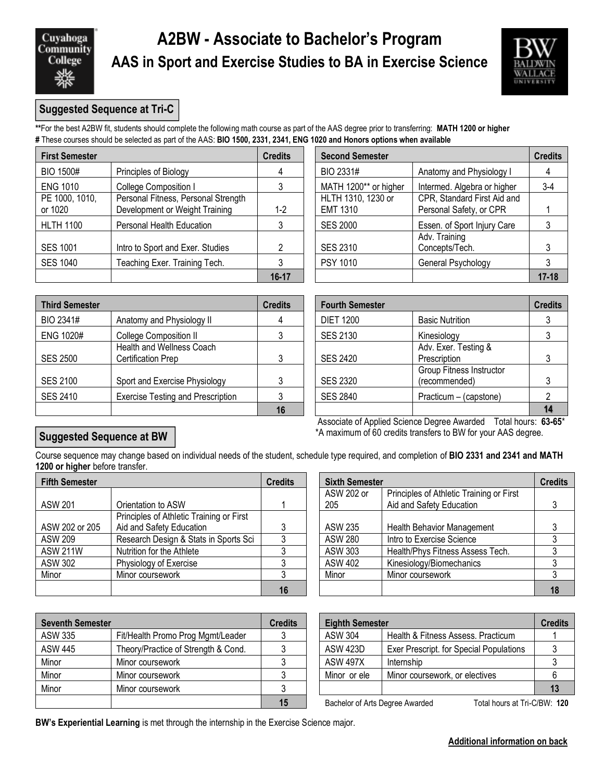Cuyahoga **Community** College

## **A2BW - Associate to Bachelor's Program AAS in Sport and Exercise Studies to BA in Exercise Science**



### **Suggested Sequence at Tri-C**

**\*\***For the best A2BW fit, students should complete the following math course as part of the AAS degree prior to transferring: **MATH 1200 or higher #** These courses should be selected as part of the AAS: **BIO 1500, 2331, 2341, ENG 1020 and Honors options when available**

| <b>First Semester</b>     |                                                                       | <b>Credits</b> | <b>Second Semester</b>                |                                                        | <b>Credits</b> |  |
|---------------------------|-----------------------------------------------------------------------|----------------|---------------------------------------|--------------------------------------------------------|----------------|--|
| <b>BIO 1500#</b>          | Principles of Biology                                                 |                | BIO 2331#                             | Anatomy and Physiology I                               |                |  |
| <b>ENG 1010</b>           | <b>College Composition I</b>                                          |                | MATH 1200** or higher                 | Intermed. Algebra or higher                            | $3-4$          |  |
| PE 1000, 1010,<br>or 1020 | Personal Fitness, Personal Strength<br>Development or Weight Training | $1-2$          | HLTH 1310, 1230 or<br><b>EMT 1310</b> | CPR, Standard First Aid and<br>Personal Safety, or CPR |                |  |
| <b>HLTH 1100</b>          | Personal Health Education                                             |                | <b>SES 2000</b>                       | Essen. of Sport Injury Care                            |                |  |
| <b>SES 1001</b>           | Intro to Sport and Exer. Studies                                      |                | SES 2310                              | Adv. Training<br>Concepts/Tech.                        |                |  |
| <b>SES 1040</b>           | Teaching Exer. Training Tech.                                         |                | <b>PSY 1010</b>                       | General Psychology                                     |                |  |
|                           |                                                                       | $16 - 17$      |                                       |                                                        | $17 - 18$      |  |

| <b>SES 1040</b>       | Teaching Exer. Training Tech.                          |                | <b>PSY 1010</b>        | General Psychology                        |                |
|-----------------------|--------------------------------------------------------|----------------|------------------------|-------------------------------------------|----------------|
|                       |                                                        | $16 - 17$      |                        |                                           | $17 - 18$      |
|                       |                                                        |                |                        |                                           |                |
| <b>Third Semester</b> |                                                        | <b>Credits</b> | <b>Fourth Semester</b> |                                           | <b>Credits</b> |
| BIO 2341#             | Anatomy and Physiology II                              | 4              | <b>DIET 1200</b>       | <b>Basic Nutrition</b>                    |                |
| <b>ENG 1020#</b>      | <b>College Composition II</b>                          |                | <b>SES 2130</b>        | Kinesiology                               |                |
| <b>SES 2500</b>       | Health and Wellness Coach<br><b>Certification Prep</b> | 3              | <b>SES 2420</b>        | Adv. Exer. Testing &<br>Prescription      |                |
| <b>SES 2100</b>       | Sport and Exercise Physiology                          | 3              | <b>SES 2320</b>        | Group Fitness Instructor<br>(recommended) |                |
| <b>SES 2410</b>       | <b>Exercise Testing and Prescription</b>               |                | <b>SES 2840</b>        | Practicum - (capstone)                    |                |

| redits  | <b>Second Semester</b>                |                                                        |           |  |  |  |
|---------|---------------------------------------|--------------------------------------------------------|-----------|--|--|--|
| 4       | BIO 2331#                             | Anatomy and Physiology I                               |           |  |  |  |
| 3       | MATH 1200** or higher                 | Intermed. Algebra or higher                            | $3-4$     |  |  |  |
| $1 - 2$ | HLTH 1310, 1230 or<br><b>EMT 1310</b> | CPR, Standard First Aid and<br>Personal Safety, or CPR |           |  |  |  |
| 3       | <b>SES 2000</b>                       | Essen. of Sport Injury Care                            |           |  |  |  |
| 2       | <b>SES 2310</b>                       | Adv. Training<br>Concepts/Tech.                        | 3         |  |  |  |
| 3       | PSY 1010                              | General Psychology                                     |           |  |  |  |
| 16-17   |                                       |                                                        | $17 - 18$ |  |  |  |

| dits           | <b>Fourth Semester</b> |                                           | <b>Credits</b> |
|----------------|------------------------|-------------------------------------------|----------------|
| $\overline{4}$ | <b>DIET 1200</b>       | <b>Basic Nutrition</b>                    |                |
| $\mathbf{3}$   | <b>SES 2130</b>        | Kinesiology                               |                |
| 3              | <b>SES 2420</b>        | Adv. Exer. Testing &<br>Prescription      |                |
| 3              | <b>SES 2320</b>        | Group Fitness Instructor<br>(recommended) |                |
| $\mathfrak{Z}$ | <b>SES 2840</b>        | Practicum - (capstone)                    |                |
| 16             |                        |                                           |                |

 Associate of Applied Science Degree Awarded Total hours: **63-65**\* \*A maximum of 60 credits transfers to BW for your AAS degree.

### **Suggested Sequence at BW**

Course sequence may change based on individual needs of the student, schedule type required, and completion of **BIO 2331 and 2341 and MATH 1200 or higher** before transfer.

| <b>Fifth Semester</b> |                                          | <b>Credits</b> | <b>Sixth Semester</b> |                                          | <b>Credits</b> |
|-----------------------|------------------------------------------|----------------|-----------------------|------------------------------------------|----------------|
|                       |                                          |                | ASW 202 or            | Principles of Athletic Training or First |                |
| <b>ASW 201</b>        | Orientation to ASW                       |                | 205                   | Aid and Safety Education                 |                |
|                       | Principles of Athletic Training or First |                |                       |                                          |                |
| ASW 202 or 205        | Aid and Safety Education                 |                | ASW 235               | <b>Health Behavior Management</b>        |                |
| <b>ASW 209</b>        | Research Design & Stats in Sports Sci    |                | <b>ASW 280</b>        | Intro to Exercise Science                |                |
| <b>ASW 211W</b>       | Nutrition for the Athlete                |                | ASW 303               | Health/Phys Fitness Assess Tech.         |                |
| <b>ASW 302</b>        | Physiology of Exercise                   |                | <b>ASW 402</b>        | Kinesiology/Biomechanics                 |                |
| Minor                 | Minor coursework                         |                | Minor                 | Minor coursework                         |                |
|                       |                                          | 16             |                       |                                          | 18             |

|                                          | <b>Credits</b> | <b>Sixth Semester</b> |                                          |    |  |
|------------------------------------------|----------------|-----------------------|------------------------------------------|----|--|
|                                          |                | ASW 202 or            | Principles of Athletic Training or First |    |  |
| Orientation to ASW                       |                | 205                   | Aid and Safety Education                 |    |  |
| Principles of Athletic Training or First |                |                       |                                          |    |  |
| Aid and Safety Education                 |                | ASW 235               | <b>Health Behavior Management</b>        |    |  |
| Research Design & Stats in Sports Sci    |                | ASW 280               | Intro to Exercise Science                |    |  |
| Nutrition for the Athlete                |                | <b>ASW 303</b>        | Health/Phys Fitness Assess Tech.         |    |  |
| Physiology of Exercise                   |                | <b>ASW 402</b>        | Kinesiology/Biomechanics                 |    |  |
| Minor coursework                         |                | Minor                 | Minor coursework                         |    |  |
|                                          | 16             |                       |                                          | 18 |  |

| <b>Seventh Semester</b> |                                     | <b>Credits</b> | <b>Eighth Semester</b> |                                                                 | <b>Credits</b> |  |
|-------------------------|-------------------------------------|----------------|------------------------|-----------------------------------------------------------------|----------------|--|
| ASW 335                 | Fit/Health Promo Prog Mgmt/Leader   |                | <b>ASW 304</b>         | Health & Fitness Assess. Practicum                              |                |  |
| <b>ASW 445</b>          | Theory/Practice of Strength & Cond. |                | ASW 423D               | Exer Prescript. for Special Populations                         |                |  |
| Minor                   | Minor coursework                    |                | <b>ASW 497X</b>        | Internship                                                      |                |  |
| Minor                   | Minor coursework                    |                | Minor or ele           | Minor coursework, or electives                                  |                |  |
| Minor                   | Minor coursework                    |                |                        |                                                                 |                |  |
|                         |                                     |                |                        | Total hours at Tri-C/BW: 120<br>Bachelor of Arts Degree Awarded |                |  |

| <b>Eighth Semester</b> | <b>Credits</b>                          |    |
|------------------------|-----------------------------------------|----|
| <b>ASW 304</b>         | Health & Fitness Assess. Practicum      |    |
| <b>ASW 423D</b>        | Exer Prescript. for Special Populations | 3  |
| <b>ASW 497X</b>        | Internship                              | -3 |
| Minor or ele           | Minor coursework, or electives          | 6  |
|                        |                                         | 13 |

**BW's Experiential Learning** is met through the internship in the Exercise Science major.